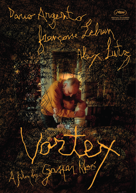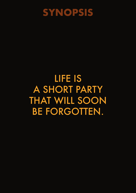

## LIFE IS A SHORT PARTY THAT WILL SOON BE FORGOTTEN.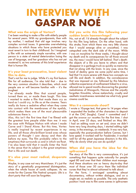## **INTERVIEW WITH GASPAR NOÉ**

#### **What was the origin of Vortex?**

I've been wanting to make a film with elderly people for several years. With my grandparents, then with my mother, I realized that old age involves very complex survival issues. It generates overwhelming situations in which those who have protected you most revert in turn to their childhood. So I imagined a film with an extremely simple narrative, with one person in a state of mental deterioration losing the use of language, and her grandson who has not yet mastered it, as two extremes of this brief experience that is human life.

#### **It's your least provocative, least violent film to date.**

That's not for me to judge. While it's my first feature film for all audiences, I'm also told that – due to the very common situation it describes, which most people are or will become familiar with – it's the toughest.

I've already made films that scared people, turned them on, or made them laugh. This time I wanted to make a film that made them cry as hard as I could cry, in life as at the cinema. Tears really do have a sedative effect when they come into contact with the membranes of the eyelids, which makes them one of the most pleasurable substances there is.

Also, this isn't the first time that I've filmed with the greatest love people older than me: it was the case with Philippe Nahon with whom I made Carne and I Stand Alone. But this time, Vortex is really inspired by recent experiences in my life, and all those ultra-brilliant loved ones whose powers of thought I saw decay and then die before my eyes. The film probably refers to the emptiness that surrounds us and in which we float. I've also been told that it recalls Enter the Void in the sense that its subject is the great emptiness that is life and not death.

#### **It's also your most radical, desperate film.**

Maybe, in any case not very Manichean. It's just the story of a genetically programmed disintegration, when the whole house of cards collapses. As we wrote for the Cannes Film Festival synopsis: Life is a short party that will soon be forgotten.

#### **Did you write this film following your sudden brain haemorrhage?**

No, not at all. I'd already thought about the subject for this film long before. On the other hand, with this stroke, from which there was very little chance that I would emerge alive or unscathed, I was catapulted onto the dark side of the moon. While I was on morphine for three weeks, I thought about my death and its consequences for all those around me, the mess I would have left behind. That's death: the objects of a life you leave to others and that disappear in a garbage truck as quickly as memories that rot along with the brain. In any case, since the hand of destiny gave me some joyful extra time, I feel that I'm more serene with these two concepts we call life and death. In addition, the convalescence that was imposed on me, followed by this fabulous collective experience of confinement linked to a virus, allowed me to spend months discovering the greatest melodramas of Mizoguchi, Naruse and the unjustly forgotten Kinoshita, whose melancholy, cruelty and aesthetic inventiveness reminded me what truly great cinema could be.

#### **Was it a commando shoot?**

I wrote a 10-page text, that grew to 14 pages when I expanded the bodies of the characters to deposit it at the CNC (laughs). Canal + committed and I got the *avance sur recettes* for the first time. I shot in April, over 25 days, and finished on May 8th. I had an editing room on set and, since we didn't have very long shooting days, I started editing right away, in the evenings, on weekends. It was very fast, especially the post-production before Cannes, but I love speed. It worked well for Fassbinder, it worked well for all the great Japanese directors in the 60s. Why do slowly what you can do quickly?

#### **When did you have the idea for the split-screen?**

The story of the film is very commonplace, it's just something that happens quite naturally for people aged 80 and over that their children must manage. And these situations are so heavy day-to-day that most of those over 50 carry them like individual curses that they're almost ashamed to talk about.

For the form, I envisaged something almost documentary, without written dialogue, and on a single set, as realistic as possible. The only aesthetic position I took was to film some scenes in split-screen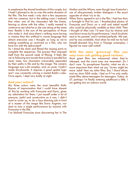to emphasize the shared loneliness of this couple, but I hadn't planned to do so over the entire duration of the film. The first week I only shot a few sequences with two cameras, but in the editing room I realized that when one of the characters left the frame, leaving us alone with the other, I really wanted to continue to see what he or she was doing at the same time. Reality is the sum of the perceptions of those who make it. And since there's nothing more boring in cinema than this artificial tv movie language that almost everyone uses I thought, as long as we're making something as contrived as a film, why not have fun with the split-screen?

So I timed the shots and filmed the missing parts to complete the sequences. The process then imposed itself from the second week of filming. It feels like we're following two tunnels that evolve in parallel but never meet, two characters irrevocably separated by their paths in life and by the image. The camera language was a bit complex, and, as usual, I hadn't made storyboards. It requires a good spatial logic and I was constantly solving a mental Rubik's cube. Once again, I slept very badly at night.

#### **And your actors?**

My three actors were the most beautiful Rolls-Royces of improvisation that I could have dreamt of. But by working with Françoise and Dario, given my admiration for them, I put myself under a lot of pressure, joyful and constructive as it was. I didn't want to screw up, to do a lazy directing job in front of a master of the image like Dario Argento, nor dare to miss a single performance by anyone with Françoise in the film.

I've idolized Françoise since discovering her in The

Mother and the Whore, even though Jean Eustache's use of ultra-precisely written dialogues is the exact opposite of what I try to do.

When Dario agreed to act in the film, I had less than a fortnight to find his son. I thumbtacked photos of Françoise and Dario on a wall and asked myself who could be physically credible as their child. Then I thought of Alex Lutz. I'd seen Guy by chance and was blown away by his performance. I stuck his photo next to his parents' and it worked perfectly. We met, and he was available. And when he told me he had himself directed Guy from a 10-page screenplay, I figured we were well suited!

#### **With this more 'grown-up' film, you may even risk getting good reviews.**

Most great films are massacred when they're released, and the worst ones are venerated…So I don't care. To paraphrase Pasolini, what we do is more important than what we say. *Vortex* might be more 'adult' than my other films. But, *I Stand Alone* and my short *SIDA* aside, I feel as if I've only really made films about teenagers for teenagers. Today, at 57, perhaps I'm finally entering adulthood a little. I am getting into an unkown world.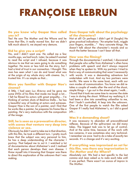# **FRANÇOISE LEBRUN**

#### **Do you know why Gaspar Noe called you in?**

Yes! He saw The Mother and the Whore and he loves that film, it really moved him. But we didn't talk much about it, we stayed very demure.

#### **Did he give you a script?**

No, and I didn't want one. He called me a few months ago, we had lunch. Later, he asked if wanted to read the script and I refused, because it was obvious to me that we were going to do something together. He more or less told me the story, but I had a kind of trust in our connection. I thought: This man has seen what I can do and loved what was at the origin of my whole story with cinema. So, I trusted him. It's as simple as that…

#### **Were you familiar with Gaspar Noe's cinema?**

A little. I had seen *Lux Æterna* and he gave me some DVDs of his films that made me laugh a lot… I felt he filmed his actors with great empathy… I'm thinking of certain shots of Béatrice Dalle... he has a beautiful way of looking at actors and actresses. Gaspar Noe is the son of a painter, and I find that he works like a painter, he prepares his frame like a painting. He's very meticulous with the composition of the image.

#### **Still, he is seen as a provocative director, with scenes that venture very deep into violence or sex.**

Obviously he didn't want to take me in that direction, with this film, he took a different turn. I pretty much knew that the subject was very personal to him, he has a deep understanding of the character I portray. That helped me to act it. I watched a lot of documentaries about Alzheimer's and I realised that each person develops their own disease. I threw myself into it knowing that Gaspar was there to direct this exploration of the unknown that I was making.

#### **Does Gaspar talk about the psychology of the characters?**

Not at all! Or perhaps I didn't get it! (laughs) He gives practical indications: "An emptier look, wiggle your fingers, mumble…" Very concrete things. He doesn't talk about the character's moods and so much the better because I can't bear all that.

#### **How was the filming?**

Through the documentaries I watched, I discovered that people who suffer from Alzheimer's often have problems with speech and don't always respond when they're spoken to. With my partners I tried to find a way of communicating that wasn't necessarily with words. It was a demanding adventure but undertaken with trust. And my two partners were terrific. We were in the same boat, each with our own modes of communication. You know we did retakes a couple of weeks after the end of the shoot, simple things – I go out in the street again, I walk… I found that it took me some time to recover the state I was in during the shoot. Without my realising it, it had been a dive into something unfamiliar to me, that I hadn't controlled. A leap into the unknown. One of the first people to watch the film asked Gaspar if I really had Alzheimer's, so I did a good job…

#### **Was it a demanding shoot?**

It was necessary to abandon all preconditioned reflexes. Because of the split-screen we did many takes. The biggest task was to let go of control. And at the same time, because of the work with two cameras, it was sometimes also very technical. I remember we once had to do a take of exactly ten seconds. It's a change and it's very exciting.

#### **If everything was improvised on set for this film, was there any improvisation in The Mother and the Whore?**

Absolutely not. We had a text specific to the last comma and Jean asked us to redo each take until it was perfect. There wasn't an ounce of improv in *The Mother.*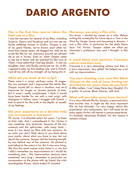## **DARIO ARGENTO**

#### **This is the first time you've taken the lead role in a film.**

I was the narrator for several of my films, including *Suspiria, Opera* and *Tenebrae* and you can see my hands stabbing women in *Giallos*. Gaspar is one of my great friends, we've known each other for more than twenty years. He begged me, told me he wrote the film for me, everyone around me advised me to act in *Vortex*. Even so, when Gaspar came to see me in Rome and we watched his film *Love* at 10am, I must admit that I had big doubts… It was my daughter, Asia, who finally convinced me. So, at 80, I agreed to play my first leading role, and in French. I put all my will, all my strength, all my being into it.

#### **What did you think of the script?**

There wasn't a script, perhaps some 15 pages. My two partners and I improvised the whole film. Gaspar would tell us about a situation and we'd improvise for longer or shorter periods of time. But it wasn't really complicated, I think it would have been harder for me with a real script, with dialogues to follow, since I struggle with French. I had to search for the truth in the depths of myself, of my feelings.

#### **Did your experience as a director help you to incarnate a character?**

Of course. I've directed actors for years, I've been at their side. And I remembered it. For *Vortex* it was sometime very technical, because of the two cameras and the split-screen, with many shots – even if I too shoot my films with two cameras. As an actor you don't think about it, you think about your marks, about what you have to say, but not about the cameras. Gaspar did the framing himself, he was behind one of the cameras. He pitched in and talked to the actors a lot. But it was very tiring. We shot the same scenes many times in a row but I didn't remember my improvisations so I would do something else… The improvisation sessions were sometimes very long I remember in particular my conversation on the phone with my friend, the critic Jean-Baptiste Thoret, which lasted 31 minutes!

#### **Moreover, you play a film critic.**

You know, I started my career as a critic. Before writing the screenplay for *Once Upon a Time in the West* for Sergio Leone and becoming a director, I was a film critic, in particular for the daily *Paese Sera*. For *Vortex*, Gaspar asked me what my character's profession was and I thought: a film critic.

#### **A word about your partners, Françoise Lebrun and Alex Lutz.**

Françoise is a very interesting actress and Alex is a born improviser, very gifted. He helped me a lot with my improvisations.

**You start shooting your new film Black Glasses at the end of June, having not directed for ten years. How do you feel?** A little restless, I can't sleep these days (laughs). It's a *giallo*, of course, *Black Glasses*, with Asia.

**What will you take away from Vortex?** It is a very intimate film for Gaspar, a personal story that touches him. It might be the most important film he has directed. I'm very happy about this experience, very enthusiastic, but I will never be an actor again,*Vortex* will remain a unique experience. It's finished, absolutely finished. For this reason it remains unique.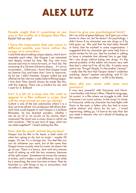## **ALEX LUTZ**

**People might find it surprising to see you in the credits of a Gaspar Noe film.** Really? Tell me why?

#### **I have the impression that you move in different worlds, you have rather the image of a comedian**.

I only think about making unique objects, which don't resemble each other. Like Gaspar I am interested and deeply moved by time, like *Guy* who turns around and tries to move forward, or *Final Set*, the swansong of a 34-year-old tennis player… It's not so inconsistent… Otherwise, I know that Gaspar loved my feature Guy and knew that I love to improvise. As for me, I didn't hesitate. Gaspar called me and offered me the role two weeks before filming began. I love that! Films should always be made like this, with this urgency. There was a window for me, and I went for it. Brilliant!

#### **Isn't it a bit of a leap into the void to appear in a film without a script, that will be improvised as you go along?**

Culture is one of the last sanctuaries where it is a duty not to be afraid. Our profession still allows that. And what could happen to me? Gaspar is a brilliant filmmaker, he has directed wonders, whether I can be an oil or an acrylic on his canvas, that's awesome! The shoot was a crazy chaos in which we told ourselves: "We've got tons of Lego, what can we make together?" I loved making this film.

#### **How did the work unfold day-to-day?**

Gaspar has his film in his head, a total vision of what he's going to do, but no script – maybe 20 pages. On set, it's a strange mix. You feel like you can do whatever you want, but at the same time Gaspar knows exactly what he wants, he doesn't let go of you. There is a heavy, slow and very precise work of setting up with the two cameras, because of the split screen. Sometimes he moves the camera 4 inches, and it makes a real difference. And while he is searching, the actor has time to brew. Then he launches us, with things to say or encounters, and we refine it, take after take.

#### **Does he give you psychological hints?**

He's an artist of great delicacy, he'll give you a few bones to chew on, but he doesn't do psychology. I didn't know if my character was into drugs or if he had given up. We said that he had taken himself in hand, that he worked in some organization. I suggested that my character get some help from a social worker for his son, that he worked in editing to have a schedule that allowed him to get high. He's into drugs without being into drugs, it's the eternal problem of the addict who knows very well that that's what he'll be all his life. A junkie once said to me "Drugs? Simple, it's the mother's breast." I really like the fact that Gaspar doesn't underline anything, doesn't explain everything, and it's for the viewer – the co-author – to fill in the blanks.

#### **How did you work with your two partners?**

It was very powerful with Françoise and Dario. I was familiar with Dario's films, I liked his language, his accent, in a film where we struggle to talk. And Françoise is an iconic actress. In the script I'm closer to Françoise, while my character has had fights with Dario in the past, a father who has had to scour police stations and clinics for his son… I loved improvising, letting go, I'd love to do only that. But you need a director who isn't afraid of heating up the camera.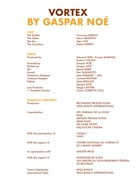# **VORTEX BY GASPAR NOÉ**

**CAST** The Son Alex LUTZ

#### **CREW**

Directed by Gaspar NOÉ Written by Gaspar NOÉ **DP** Benoît DEBIE Sound Ken YASUMOTO Costume Designer<br>
Feditors<br>
Feditors
Feditors
Feditors
Corinne BRUAND

## **FINANCIAL PARTNERS**

With the participation of CANAL+

In coproduction with SHELTER PROD

French Distribution WILD BUNCH

**Francoise LEBRUN** The Father **Dario ARGENTO** The Grandson **Kylian DHERET** 

Produced by The Contract Contract Contract Contract Contract Contract Contract Contract Contract Contract Contract Contract Contract Contract Contract Contract Contract Contract Contract Contract Contract Contract Contract Brahim CHIOUA Production Designer Manual Sean RABASSE – ADC Denis BEDLOW Gaspar NOÉ Serge CATOIRE 1st Assistant Director Claire CORBETTA DOLL

Production **RECTANGLE PRODUCTIONS** WILD BUNCH INTERNATIONAL

Coproduction LES CINÉMAS DE LA ZONE KNM ARTEMIS PRODUCTIONS SRAB FILMS LES FILMS VELVET KALLOUCHE CINÉMA

CINÉ+

With the support of CENTRE NATIONAL DU CINÉMA ET DE L'IMAGE ANIMÉE

With the support of TAXSHELTER.BE & ING TAX SHELTER DU GOUVERNEMENT FÉDÉRAL DE BELGIQUE

International Sales WILD BUNCH INTERNATIONAL